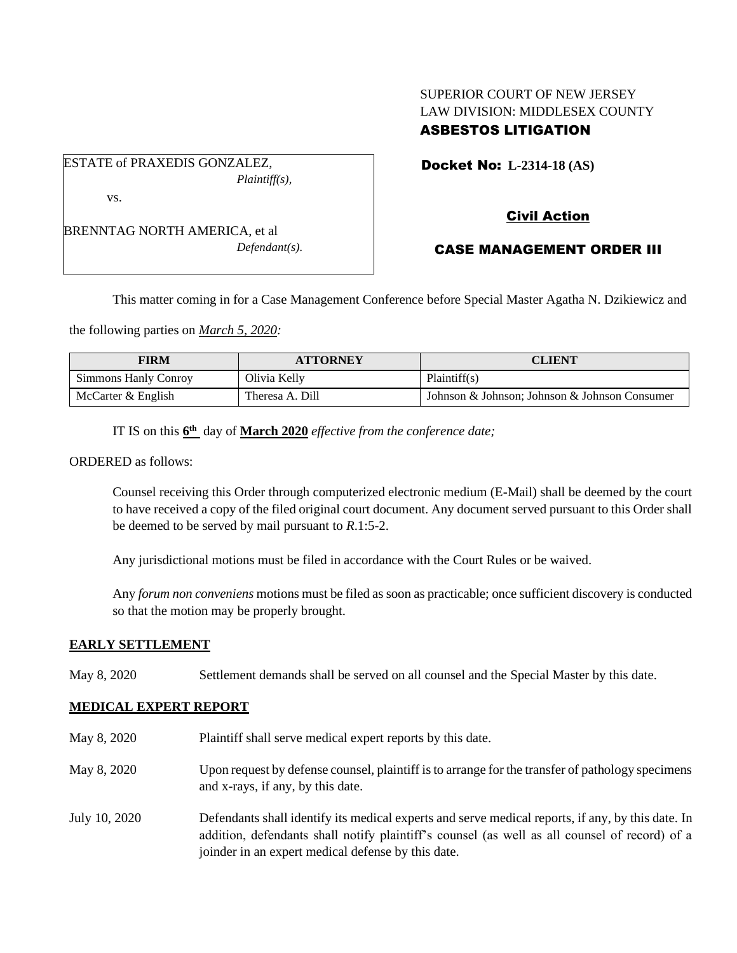# SUPERIOR COURT OF NEW JERSEY LAW DIVISION: MIDDLESEX COUNTY ASBESTOS LITIGATION

ESTATE of PRAXEDIS GONZALEZ, *Plaintiff(s),* vs.

BRENNTAG NORTH AMERICA, et al *Defendant(s).* Docket No: **L-2314-18 (AS)** 

# Civil Action

# CASE MANAGEMENT ORDER III

This matter coming in for a Case Management Conference before Special Master Agatha N. Dzikiewicz and

the following parties on *March 5, 2020:*

| <b>FIRM</b>          | <b>ATTORNEY</b> | <b>CLIENT</b>                                 |
|----------------------|-----------------|-----------------------------------------------|
| Simmons Hanly Conroy | Olivia Kelly    | Plaintiff(s)                                  |
| McCarter & English   | Theresa A. Dill | Johnson & Johnson: Johnson & Johnson Consumer |

IT IS on this **6 th** day of **March 2020** *effective from the conference date;*

ORDERED as follows:

Counsel receiving this Order through computerized electronic medium (E-Mail) shall be deemed by the court to have received a copy of the filed original court document. Any document served pursuant to this Order shall be deemed to be served by mail pursuant to *R*.1:5-2.

Any jurisdictional motions must be filed in accordance with the Court Rules or be waived.

Any *forum non conveniens* motions must be filed as soon as practicable; once sufficient discovery is conducted so that the motion may be properly brought.

## **EARLY SETTLEMENT**

May 8, 2020 Settlement demands shall be served on all counsel and the Special Master by this date.

## **MEDICAL EXPERT REPORT**

May 8, 2020 Plaintiff shall serve medical expert reports by this date. May 8, 2020 Upon request by defense counsel, plaintiff is to arrange for the transfer of pathology specimens and x-rays, if any, by this date. July 10, 2020 Defendants shall identify its medical experts and serve medical reports, if any, by this date. In addition, defendants shall notify plaintiff's counsel (as well as all counsel of record) of a joinder in an expert medical defense by this date.